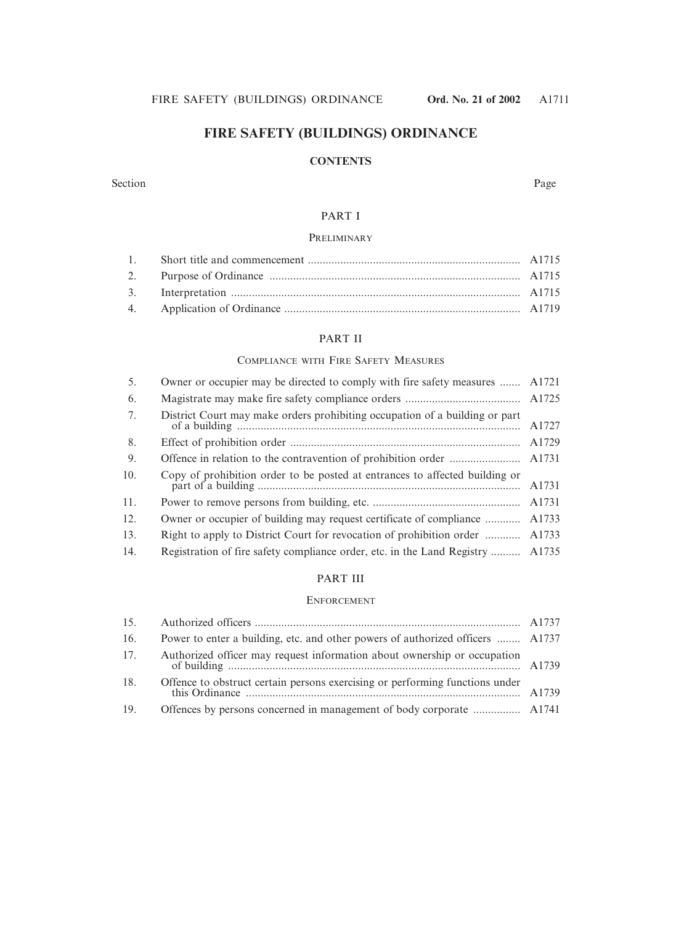# **FIRE SAFETY (BUILDINGS) ORDINANCE**

### **CONTENTS**

#### Section Page

# PART I

#### PRELIMINARY

### PART II

### COMPLIANCE WITH FIRE SAFETY MEASURES

| 5.  | Owner or occupier may be directed to comply with fire safety measures       | A1721 |
|-----|-----------------------------------------------------------------------------|-------|
| 6.  |                                                                             |       |
| 7.  | District Court may make orders prohibiting occupation of a building or part | A1727 |
| 8.  |                                                                             | A1729 |
| 9.  |                                                                             |       |
| 10. | Copy of prohibition order to be posted at entrances to affected building or | A1731 |
| 11. |                                                                             | A1731 |
| 12. | Owner or occupier of building may request certificate of compliance         | A1733 |
| 13. | Right to apply to District Court for revocation of prohibition order        | A1733 |
| 14. | Registration of fire safety compliance order, etc. in the Land Registry     | A1735 |

#### PART III

#### ENFORCEMENT

| 15. |                                                                                |  |
|-----|--------------------------------------------------------------------------------|--|
| 16. | Power to enter a building, etc. and other powers of authorized officers  A1737 |  |
| 17. | Authorized officer may request information about ownership or occupation       |  |
| 18. | Offence to obstruct certain persons exercising or performing functions under   |  |
| 19. | Offences by persons concerned in management of body corporate  A1741           |  |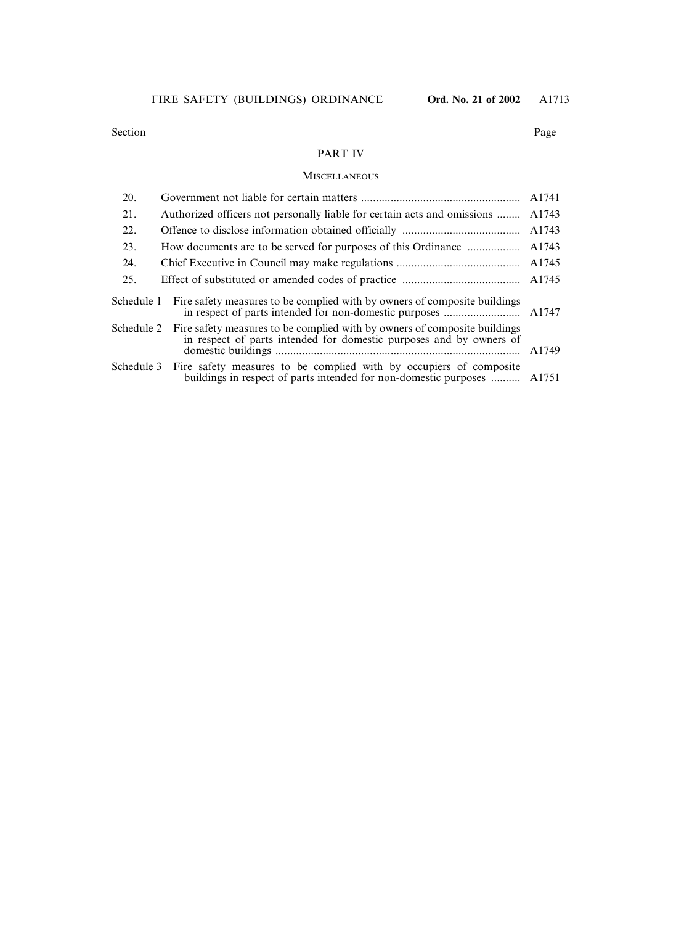### PART IV

#### **MISCELLANEOUS**

| 20.        |                                                                                                                                                          | A1741 |
|------------|----------------------------------------------------------------------------------------------------------------------------------------------------------|-------|
| 21.        | Authorized officers not personally liable for certain acts and omissions                                                                                 | A1743 |
| 22.        |                                                                                                                                                          | A1743 |
| 23.        | How documents are to be served for purposes of this Ordinance                                                                                            | A1743 |
| 24.        |                                                                                                                                                          | A1745 |
| 25.        |                                                                                                                                                          | A1745 |
| Schedule 1 | Fire safety measures to be complied with by owners of composite buildings                                                                                |       |
|            |                                                                                                                                                          |       |
| Schedule 2 | Fire safety measures to be complied with by owners of composite buildings<br>in respect of parts intended for domestic purposes and by owners of         | A1749 |
|            | Schedule 3 Fire safety measures to be complied with by occupiers of composite<br>buildings in respect of parts intended for non-domestic purposes  A1751 |       |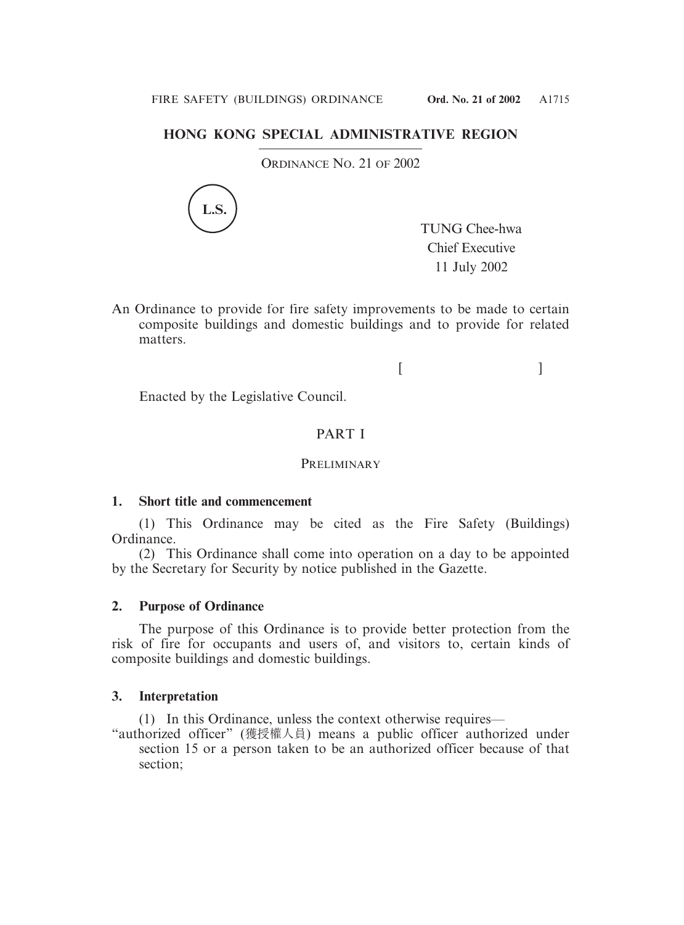# **HONG KONG SPECIAL ADMINISTRATIVE REGION**

ORDINANCE NO. 21 OF 2002



TUNG Chee-hwa Chief Executive 11 July 2002

An Ordinance to provide for fire safety improvements to be made to certain composite buildings and domestic buildings and to provide for related matters.

 $[$   $]$ 

Enacted by the Legislative Council.

# PART I

## **PRELIMINARY**

# **1. Short title and commencement**

(1) This Ordinance may be cited as the Fire Safety (Buildings) Ordinance.

(2) This Ordinance shall come into operation on a day to be appointed by the Secretary for Security by notice published in the Gazette.

# **2. Purpose of Ordinance**

The purpose of this Ordinance is to provide better protection from the risk of fire for occupants and users of, and visitors to, certain kinds of composite buildings and domestic buildings.

## **3. Interpretation**

(1) In this Ordinance, unless the context otherwise requires—

"authorized officer" (獲授權人員) means a public officer authorized under section 15 or a person taken to be an authorized officer because of that section;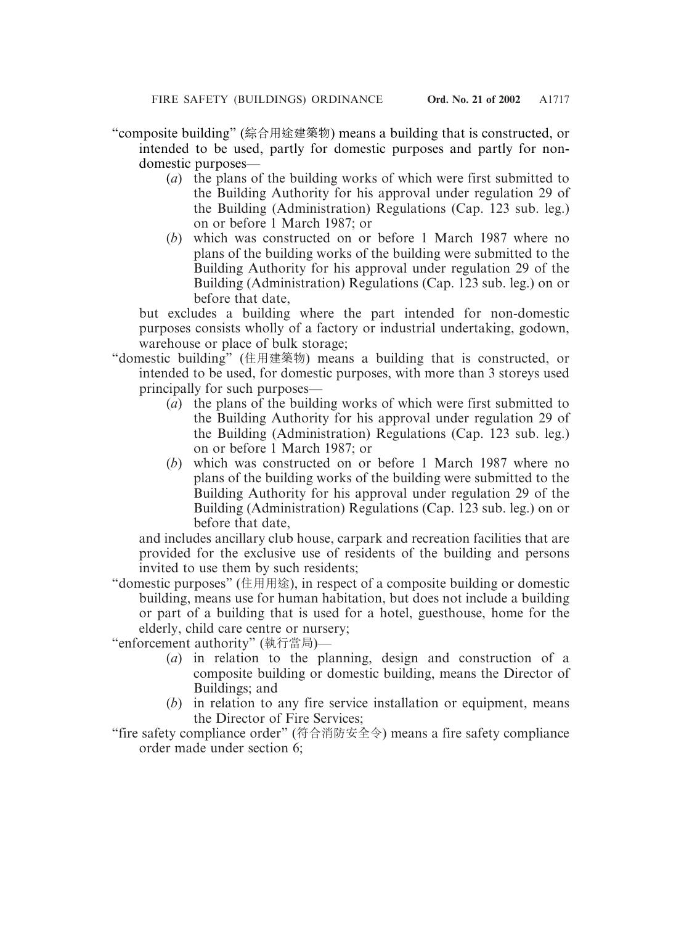"composite building" (綜合用途建築物) means a building that is constructed, or intended to be used, partly for domestic purposes and partly for nondomestic purposes—

- (*a*) the plans of the building works of which were first submitted to the Building Authority for his approval under regulation 29 of the Building (Administration) Regulations (Cap. 123 sub. leg.) on or before 1 March 1987; or
- (*b*) which was constructed on or before 1 March 1987 where no plans of the building works of the building were submitted to the Building Authority for his approval under regulation 29 of the Building (Administration) Regulations (Cap. 123 sub. leg.) on or before that date,

but excludes a building where the part intended for non-domestic purposes consists wholly of a factory or industrial undertaking, godown, warehouse or place of bulk storage;

- "domestic building" (住用建築物) means a building that is constructed, or intended to be used, for domestic purposes, with more than 3 storeys used principally for such purposes—
	- (*a*) the plans of the building works of which were first submitted to the Building Authority for his approval under regulation 29 of the Building (Administration) Regulations (Cap. 123 sub. leg.) on or before 1 March 1987; or
	- (*b*) which was constructed on or before 1 March 1987 where no plans of the building works of the building were submitted to the Building Authority for his approval under regulation 29 of the Building (Administration) Regulations (Cap. 123 sub. leg.) on or before that date,

and includes ancillary club house, carpark and recreation facilities that are provided for the exclusive use of residents of the building and persons invited to use them by such residents;

"domestic purposes" (住用用途), in respect of a composite building or domestic building, means use for human habitation, but does not include a building or part of a building that is used for a hotel, guesthouse, home for the elderly, child care centre or nursery;

"enforcement authority" (執行當局)—

- (*a*) in relation to the planning, design and construction of a composite building or domestic building, means the Director of Buildings; and
- (*b*) in relation to any fire service installation or equipment, means the Director of Fire Services;
- "fire safety compliance order" (符合消防安全令) means a fire safety compliance order made under section 6;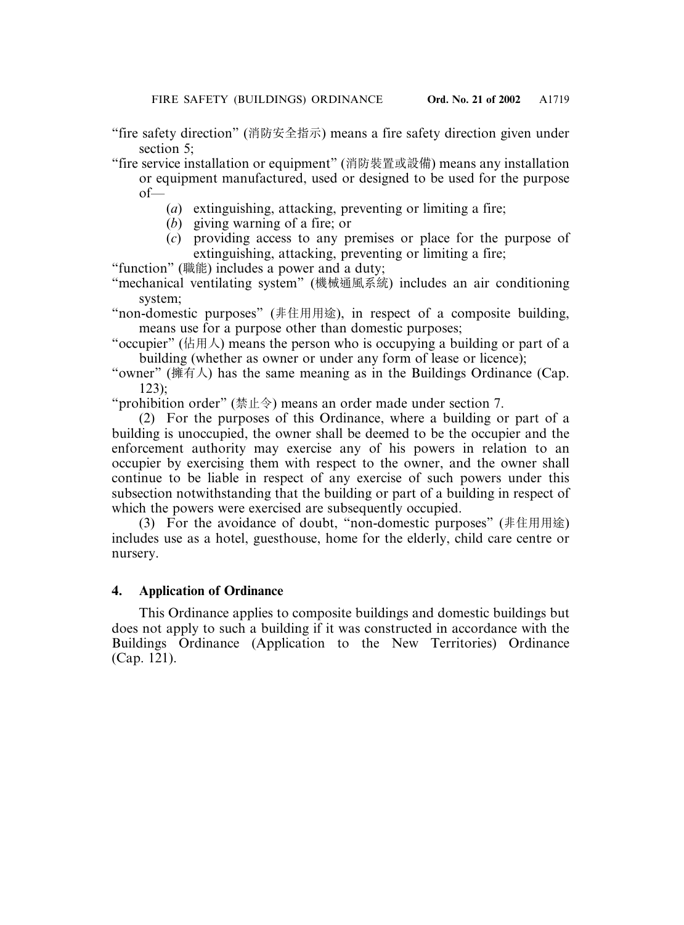"fire safety direction" (消防安全指示) means a fire safety direction given under section 5;

"fire service installation or equipment" (消防裝置或設備) means any installation or equipment manufactured, used or designed to be used for the purpose of—

- (*a*) extinguishing, attacking, preventing or limiting a fire;
- (*b*) giving warning of a fire; or
- (*c*) providing access to any premises or place for the purpose of extinguishing, attacking, preventing or limiting a fire;

"function" (職能) includes a power and a duty;

"mechanical ventilating system" (機械通風系統) includes an air conditioning system;

"non-domestic purposes" (非住用用途), in respect of a composite building, means use for a purpose other than domestic purposes;

"occupier" (佔用人) means the person who is occupying a building or part of a building (whether as owner or under any form of lease or licence);

"owner" (擁有人) has the same meaning as in the Buildings Ordinance (Cap. 123);

"prohibition order" (禁止令) means an order made under section 7.

(2) For the purposes of this Ordinance, where a building or part of a building is unoccupied, the owner shall be deemed to be the occupier and the enforcement authority may exercise any of his powers in relation to an occupier by exercising them with respect to the owner, and the owner shall continue to be liable in respect of any exercise of such powers under this subsection notwithstanding that the building or part of a building in respect of which the powers were exercised are subsequently occupied.

(3) For the avoidance of doubt, "non-domestic purposes" (非住用用途) includes use as a hotel, guesthouse, home for the elderly, child care centre or nursery.

# **4. Application of Ordinance**

This Ordinance applies to composite buildings and domestic buildings but does not apply to such a building if it was constructed in accordance with the Buildings Ordinance (Application to the New Territories) Ordinance (Cap. 121).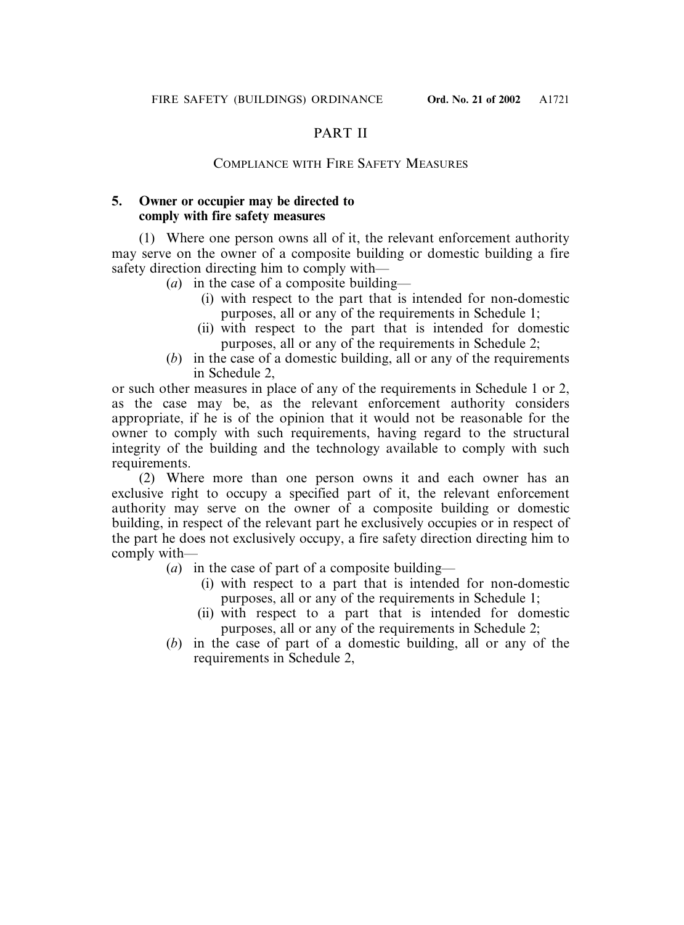# PART II

# COMPLIANCE WITH FIRE SAFETY MEASURES

# **5. Owner or occupier may be directed to comply with fire safety measures**

(1) Where one person owns all of it, the relevant enforcement authority may serve on the owner of a composite building or domestic building a fire safety direction directing him to comply with—

- (*a*) in the case of a composite building—
	- (i) with respect to the part that is intended for non-domestic purposes, all or any of the requirements in Schedule 1;
	- (ii) with respect to the part that is intended for domestic purposes, all or any of the requirements in Schedule 2;
- (*b*) in the case of a domestic building, all or any of the requirements in Schedule 2,

or such other measures in place of any of the requirements in Schedule 1 or 2, as the case may be, as the relevant enforcement authority considers appropriate, if he is of the opinion that it would not be reasonable for the owner to comply with such requirements, having regard to the structural integrity of the building and the technology available to comply with such requirements.

(2) Where more than one person owns it and each owner has an exclusive right to occupy a specified part of it, the relevant enforcement authority may serve on the owner of a composite building or domestic building, in respect of the relevant part he exclusively occupies or in respect of the part he does not exclusively occupy, a fire safety direction directing him to comply with—

- (*a*) in the case of part of a composite building—
	- (i) with respect to a part that is intended for non-domestic purposes, all or any of the requirements in Schedule 1;
	- (ii) with respect to a part that is intended for domestic purposes, all or any of the requirements in Schedule 2;
- (*b*) in the case of part of a domestic building, all or any of the requirements in Schedule 2,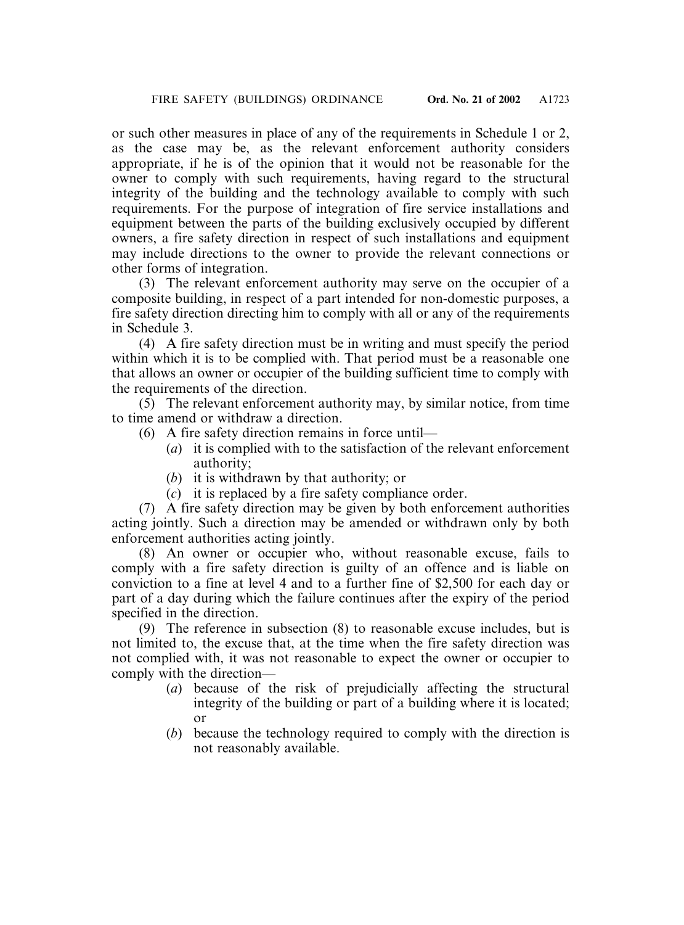or such other measures in place of any of the requirements in Schedule 1 or 2, as the case may be, as the relevant enforcement authority considers appropriate, if he is of the opinion that it would not be reasonable for the owner to comply with such requirements, having regard to the structural integrity of the building and the technology available to comply with such requirements. For the purpose of integration of fire service installations and equipment between the parts of the building exclusively occupied by different owners, a fire safety direction in respect of such installations and equipment may include directions to the owner to provide the relevant connections or other forms of integration.

(3) The relevant enforcement authority may serve on the occupier of a composite building, in respect of a part intended for non-domestic purposes, a fire safety direction directing him to comply with all or any of the requirements in Schedule 3.

(4) A fire safety direction must be in writing and must specify the period within which it is to be complied with. That period must be a reasonable one that allows an owner or occupier of the building sufficient time to comply with the requirements of the direction.

(5) The relevant enforcement authority may, by similar notice, from time to time amend or withdraw a direction.

- (6) A fire safety direction remains in force until—
	- (*a*) it is complied with to the satisfaction of the relevant enforcement authority;
	- (*b*) it is withdrawn by that authority; or
	- (*c*) it is replaced by a fire safety compliance order.

(7) A fire safety direction may be given by both enforcement authorities acting jointly. Such a direction may be amended or withdrawn only by both enforcement authorities acting jointly.

(8) An owner or occupier who, without reasonable excuse, fails to comply with a fire safety direction is guilty of an offence and is liable on conviction to a fine at level 4 and to a further fine of \$2,500 for each day or part of a day during which the failure continues after the expiry of the period specified in the direction.

(9) The reference in subsection (8) to reasonable excuse includes, but is not limited to, the excuse that, at the time when the fire safety direction was not complied with, it was not reasonable to expect the owner or occupier to comply with the direction—

- (*a*) because of the risk of prejudicially affecting the structural integrity of the building or part of a building where it is located; or
- (*b*) because the technology required to comply with the direction is not reasonably available.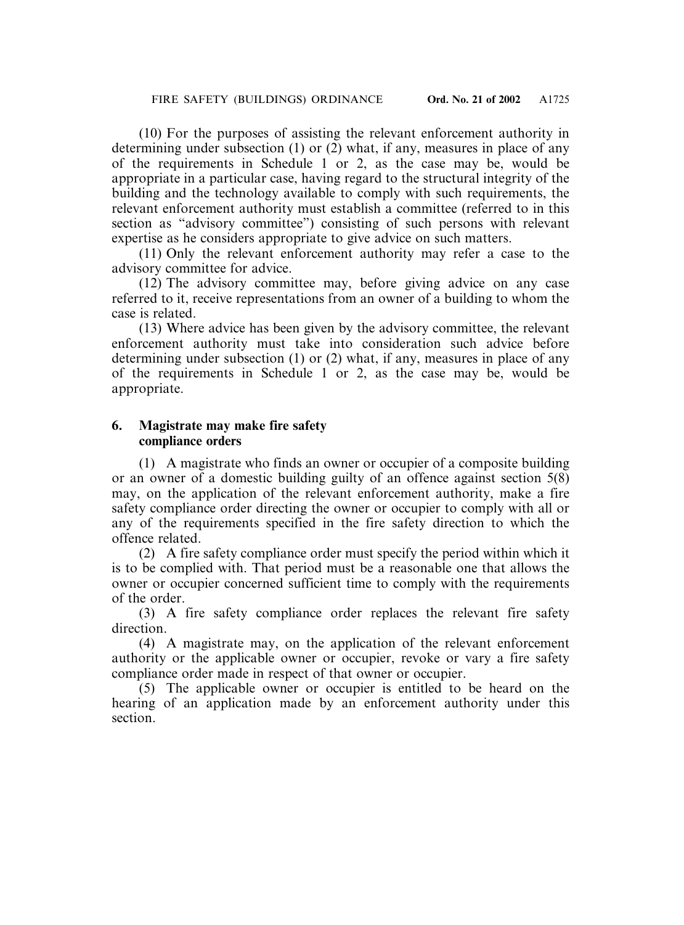(10) For the purposes of assisting the relevant enforcement authority in determining under subsection (1) or  $(2)$  what, if any, measures in place of any of the requirements in Schedule 1 or 2, as the case may be, would be appropriate in a particular case, having regard to the structural integrity of the building and the technology available to comply with such requirements, the relevant enforcement authority must establish a committee (referred to in this section as "advisory committee") consisting of such persons with relevant expertise as he considers appropriate to give advice on such matters.

(11) Only the relevant enforcement authority may refer a case to the advisory committee for advice.

(12) The advisory committee may, before giving advice on any case referred to it, receive representations from an owner of a building to whom the case is related.

(13) Where advice has been given by the advisory committee, the relevant enforcement authority must take into consideration such advice before determining under subsection (1) or (2) what, if any, measures in place of any of the requirements in Schedule 1 or 2, as the case may be, would be appropriate.

## **6. Magistrate may make fire safety compliance orders**

(1) A magistrate who finds an owner or occupier of a composite building or an owner of a domestic building guilty of an offence against section 5(8) may, on the application of the relevant enforcement authority, make a fire safety compliance order directing the owner or occupier to comply with all or any of the requirements specified in the fire safety direction to which the offence related.

(2) A fire safety compliance order must specify the period within which it is to be complied with. That period must be a reasonable one that allows the owner or occupier concerned sufficient time to comply with the requirements of the order.

(3) A fire safety compliance order replaces the relevant fire safety direction.

(4) A magistrate may, on the application of the relevant enforcement authority or the applicable owner or occupier, revoke or vary a fire safety compliance order made in respect of that owner or occupier.

(5) The applicable owner or occupier is entitled to be heard on the hearing of an application made by an enforcement authority under this section.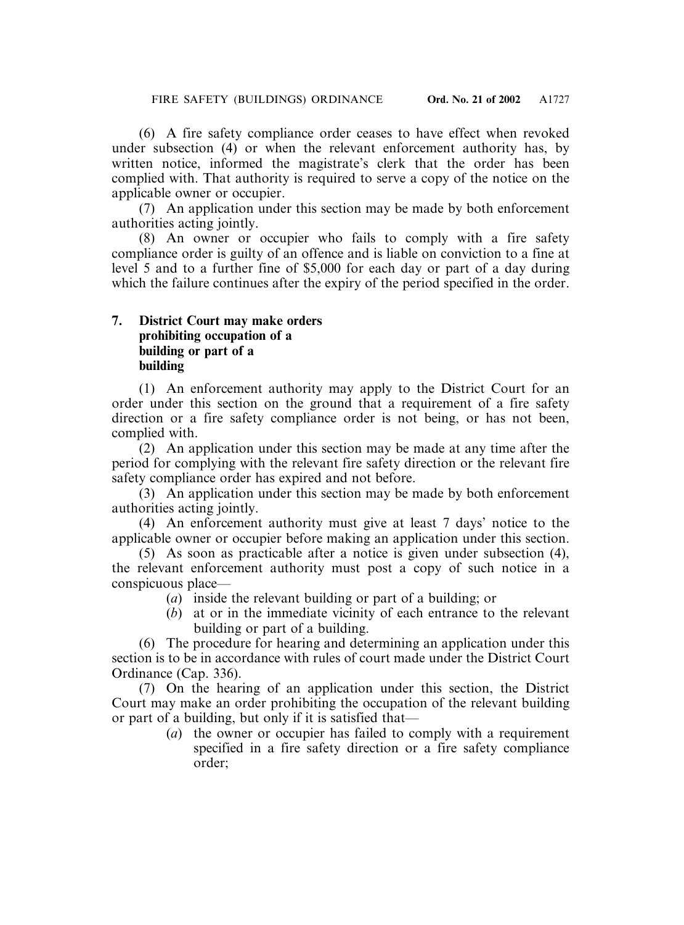(6) A fire safety compliance order ceases to have effect when revoked under subsection (4) or when the relevant enforcement authority has, by written notice, informed the magistrate's clerk that the order has been complied with. That authority is required to serve a copy of the notice on the applicable owner or occupier.

(7) An application under this section may be made by both enforcement authorities acting jointly.

(8) An owner or occupier who fails to comply with a fire safety compliance order is guilty of an offence and is liable on conviction to a fine at level 5 and to a further fine of \$5,000 for each day or part of a day during which the failure continues after the expiry of the period specified in the order.

# **7. District Court may make orders prohibiting occupation of a building or part of a building**

(1) An enforcement authority may apply to the District Court for an order under this section on the ground that a requirement of a fire safety direction or a fire safety compliance order is not being, or has not been, complied with.

(2) An application under this section may be made at any time after the period for complying with the relevant fire safety direction or the relevant fire safety compliance order has expired and not before.

(3) An application under this section may be made by both enforcement authorities acting jointly.

(4) An enforcement authority must give at least 7 days' notice to the applicable owner or occupier before making an application under this section.

(5) As soon as practicable after a notice is given under subsection (4), the relevant enforcement authority must post a copy of such notice in a conspicuous place—

- (*a*) inside the relevant building or part of a building; or
- (*b*) at or in the immediate vicinity of each entrance to the relevant building or part of a building.

(6) The procedure for hearing and determining an application under this section is to be in accordance with rules of court made under the District Court Ordinance (Cap. 336).

(7) On the hearing of an application under this section, the District Court may make an order prohibiting the occupation of the relevant building or part of a building, but only if it is satisfied that—

(*a*) the owner or occupier has failed to comply with a requirement specified in a fire safety direction or a fire safety compliance order;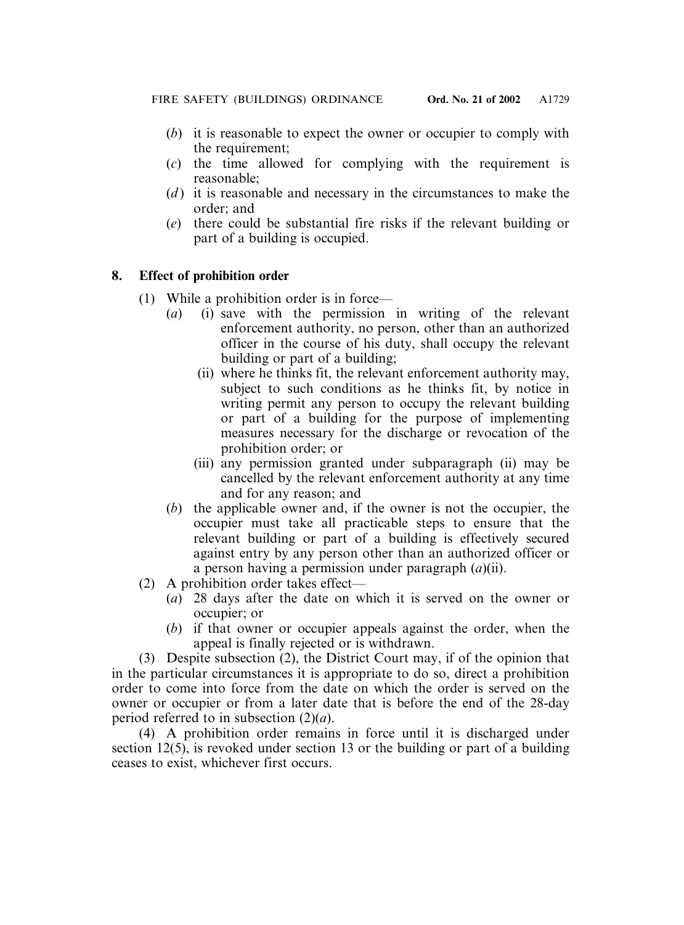- (*b*) it is reasonable to expect the owner or occupier to comply with the requirement;
- (*c*) the time allowed for complying with the requirement is reasonable;
- (*d* ) it is reasonable and necessary in the circumstances to make the order; and
- (*e*) there could be substantial fire risks if the relevant building or part of a building is occupied.

# **8. Effect of prohibition order**

- (1) While a prohibition order is in force—
	- (*a*) (i) save with the permission in writing of the relevant enforcement authority, no person, other than an authorized officer in the course of his duty, shall occupy the relevant building or part of a building;
		- (ii) where he thinks fit, the relevant enforcement authority may, subject to such conditions as he thinks fit, by notice in writing permit any person to occupy the relevant building or part of a building for the purpose of implementing measures necessary for the discharge or revocation of the prohibition order; or
		- (iii) any permission granted under subparagraph (ii) may be cancelled by the relevant enforcement authority at any time and for any reason; and
	- (*b*) the applicable owner and, if the owner is not the occupier, the occupier must take all practicable steps to ensure that the relevant building or part of a building is effectively secured against entry by any person other than an authorized officer or a person having a permission under paragraph (*a*)(ii).
- (2) A prohibition order takes effect—
	- (*a*) 28 days after the date on which it is served on the owner or occupier; or
	- (*b*) if that owner or occupier appeals against the order, when the appeal is finally rejected or is withdrawn.

(3) Despite subsection (2), the District Court may, if of the opinion that in the particular circumstances it is appropriate to do so, direct a prohibition order to come into force from the date on which the order is served on the owner or occupier or from a later date that is before the end of the 28-day period referred to in subsection (2)(*a*).

(4) A prohibition order remains in force until it is discharged under section 12(5), is revoked under section 13 or the building or part of a building ceases to exist, whichever first occurs.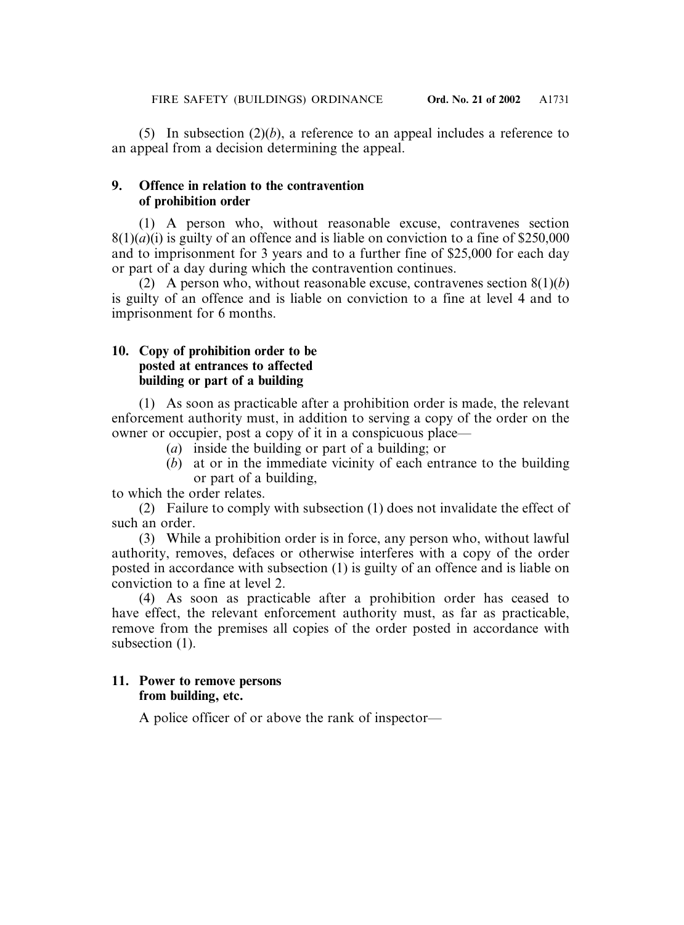(5) In subsection (2)(*b*), a reference to an appeal includes a reference to an appeal from a decision determining the appeal.

## **9. Offence in relation to the contravention of prohibition order**

(1) A person who, without reasonable excuse, contravenes section  $8(1)(a)(i)$  is guilty of an offence and is liable on conviction to a fine of \$250,000 and to imprisonment for 3 years and to a further fine of \$25,000 for each day or part of a day during which the contravention continues.

(2) A person who, without reasonable excuse, contravenes section 8(1)(*b*) is guilty of an offence and is liable on conviction to a fine at level 4 and to imprisonment for 6 months.

# **10. Copy of prohibition order to be posted at entrances to affected building or part of a building**

(1) As soon as practicable after a prohibition order is made, the relevant enforcement authority must, in addition to serving a copy of the order on the owner or occupier, post a copy of it in a conspicuous place—

- (*a*) inside the building or part of a building; or
- (*b*) at or in the immediate vicinity of each entrance to the building or part of a building,

to which the order relates.

(2) Failure to comply with subsection (1) does not invalidate the effect of such an order.

(3) While a prohibition order is in force, any person who, without lawful authority, removes, defaces or otherwise interferes with a copy of the order posted in accordance with subsection (1) is guilty of an offence and is liable on conviction to a fine at level 2.

(4) As soon as practicable after a prohibition order has ceased to have effect, the relevant enforcement authority must, as far as practicable, remove from the premises all copies of the order posted in accordance with subsection  $(1)$ .

# **11. Power to remove persons from building, etc.**

A police officer of or above the rank of inspector—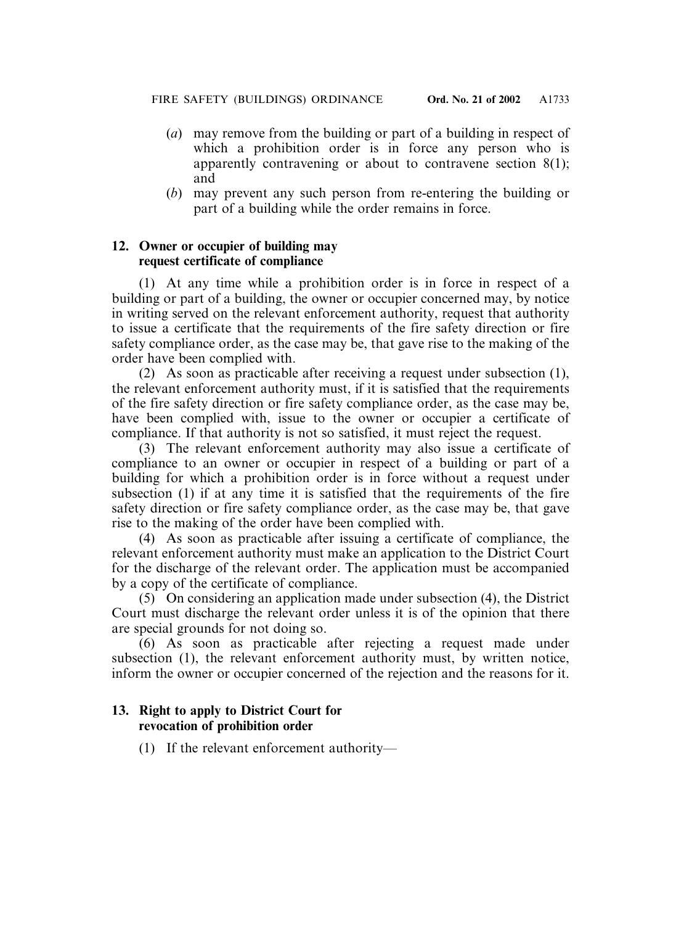- (*a*) may remove from the building or part of a building in respect of which a prohibition order is in force any person who is apparently contravening or about to contravene section 8(1); and
- (*b*) may prevent any such person from re-entering the building or part of a building while the order remains in force.

# **12. Owner or occupier of building may request certificate of compliance**

(1) At any time while a prohibition order is in force in respect of a building or part of a building, the owner or occupier concerned may, by notice in writing served on the relevant enforcement authority, request that authority to issue a certificate that the requirements of the fire safety direction or fire safety compliance order, as the case may be, that gave rise to the making of the order have been complied with.

(2) As soon as practicable after receiving a request under subsection (1), the relevant enforcement authority must, if it is satisfied that the requirements of the fire safety direction or fire safety compliance order, as the case may be, have been complied with, issue to the owner or occupier a certificate of compliance. If that authority is not so satisfied, it must reject the request.

(3) The relevant enforcement authority may also issue a certificate of compliance to an owner or occupier in respect of a building or part of a building for which a prohibition order is in force without a request under subsection (1) if at any time it is satisfied that the requirements of the fire safety direction or fire safety compliance order, as the case may be, that gave rise to the making of the order have been complied with.

(4) As soon as practicable after issuing a certificate of compliance, the relevant enforcement authority must make an application to the District Court for the discharge of the relevant order. The application must be accompanied by a copy of the certificate of compliance.

(5) On considering an application made under subsection (4), the District Court must discharge the relevant order unless it is of the opinion that there are special grounds for not doing so.

(6) As soon as practicable after rejecting a request made under subsection (1), the relevant enforcement authority must, by written notice, inform the owner or occupier concerned of the rejection and the reasons for it.

# **13. Right to apply to District Court for revocation of prohibition order**

(1) If the relevant enforcement authority—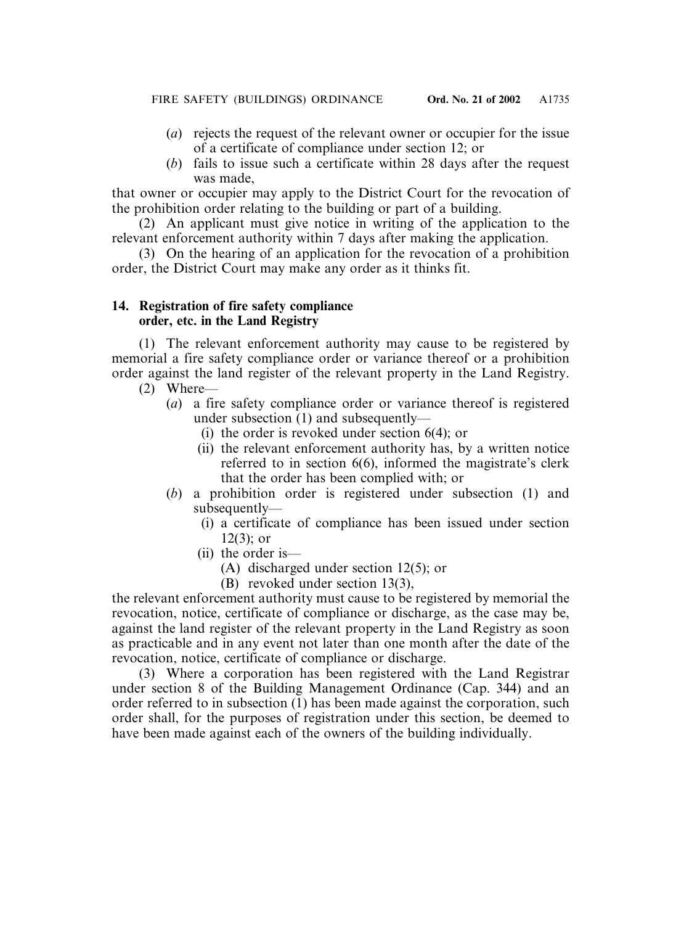- (*a*) rejects the request of the relevant owner or occupier for the issue of a certificate of compliance under section 12; or
- (*b*) fails to issue such a certificate within 28 days after the request was made,

that owner or occupier may apply to the District Court for the revocation of the prohibition order relating to the building or part of a building.

(2) An applicant must give notice in writing of the application to the relevant enforcement authority within 7 days after making the application.

(3) On the hearing of an application for the revocation of a prohibition order, the District Court may make any order as it thinks fit.

# **14. Registration of fire safety compliance order, etc. in the Land Registry**

(1) The relevant enforcement authority may cause to be registered by memorial a fire safety compliance order or variance thereof or a prohibition order against the land register of the relevant property in the Land Registry.

- (2) Where—
	- (*a*) a fire safety compliance order or variance thereof is registered under subsection (1) and subsequently—
		- (i) the order is revoked under section 6(4); or
		- (ii) the relevant enforcement authority has, by a written notice referred to in section 6(6), informed the magistrate's clerk that the order has been complied with; or
	- (*b*) a prohibition order is registered under subsection (1) and subsequently—
		- (i) a certificate of compliance has been issued under section 12(3); or
		- (ii) the order is—
			- (A) discharged under section 12(5); or
			- (B) revoked under section 13(3),

the relevant enforcement authority must cause to be registered by memorial the revocation, notice, certificate of compliance or discharge, as the case may be, against the land register of the relevant property in the Land Registry as soon as practicable and in any event not later than one month after the date of the revocation, notice, certificate of compliance or discharge.

(3) Where a corporation has been registered with the Land Registrar under section 8 of the Building Management Ordinance (Cap. 344) and an order referred to in subsection (1) has been made against the corporation, such order shall, for the purposes of registration under this section, be deemed to have been made against each of the owners of the building individually.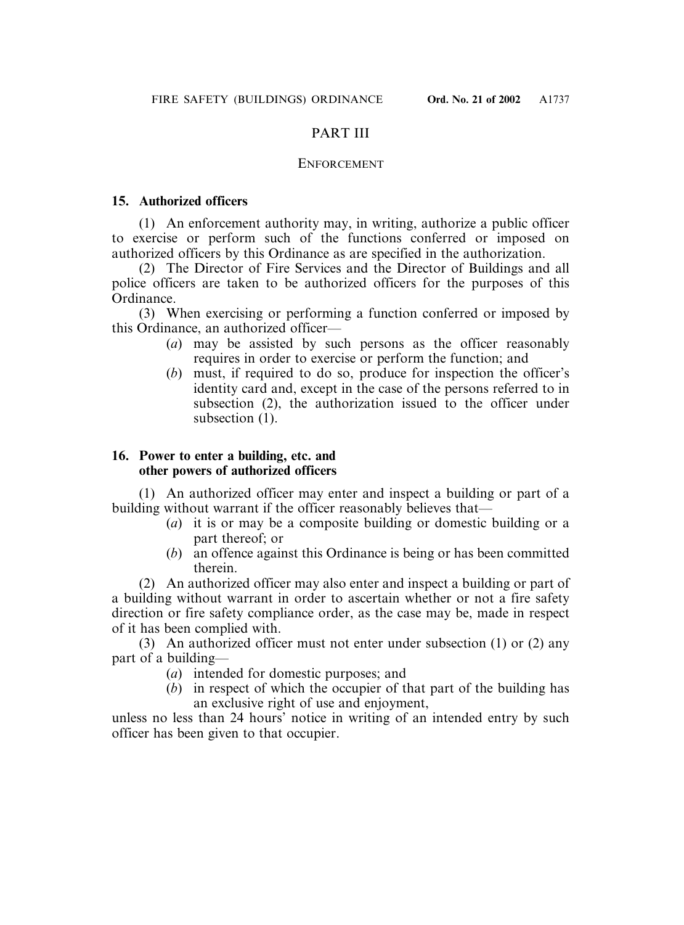# PART III

# ENFORCEMENT

# **15. Authorized officers**

(1) An enforcement authority may, in writing, authorize a public officer to exercise or perform such of the functions conferred or imposed on authorized officers by this Ordinance as are specified in the authorization.

(2) The Director of Fire Services and the Director of Buildings and all police officers are taken to be authorized officers for the purposes of this Ordinance.

(3) When exercising or performing a function conferred or imposed by this Ordinance, an authorized officer—

- (*a*) may be assisted by such persons as the officer reasonably requires in order to exercise or perform the function; and
- (*b*) must, if required to do so, produce for inspection the officer's identity card and, except in the case of the persons referred to in subsection (2), the authorization issued to the officer under subsection (1).

# **16. Power to enter a building, etc. and other powers of authorized officers**

(1) An authorized officer may enter and inspect a building or part of a building without warrant if the officer reasonably believes that—

- (*a*) it is or may be a composite building or domestic building or a part thereof; or
- (*b*) an offence against this Ordinance is being or has been committed therein.

(2) An authorized officer may also enter and inspect a building or part of a building without warrant in order to ascertain whether or not a fire safety direction or fire safety compliance order, as the case may be, made in respect of it has been complied with.

(3) An authorized officer must not enter under subsection (1) or (2) any part of a building—

- (*a*) intended for domestic purposes; and
- (*b*) in respect of which the occupier of that part of the building has an exclusive right of use and enjoyment,

unless no less than 24 hours' notice in writing of an intended entry by such officer has been given to that occupier.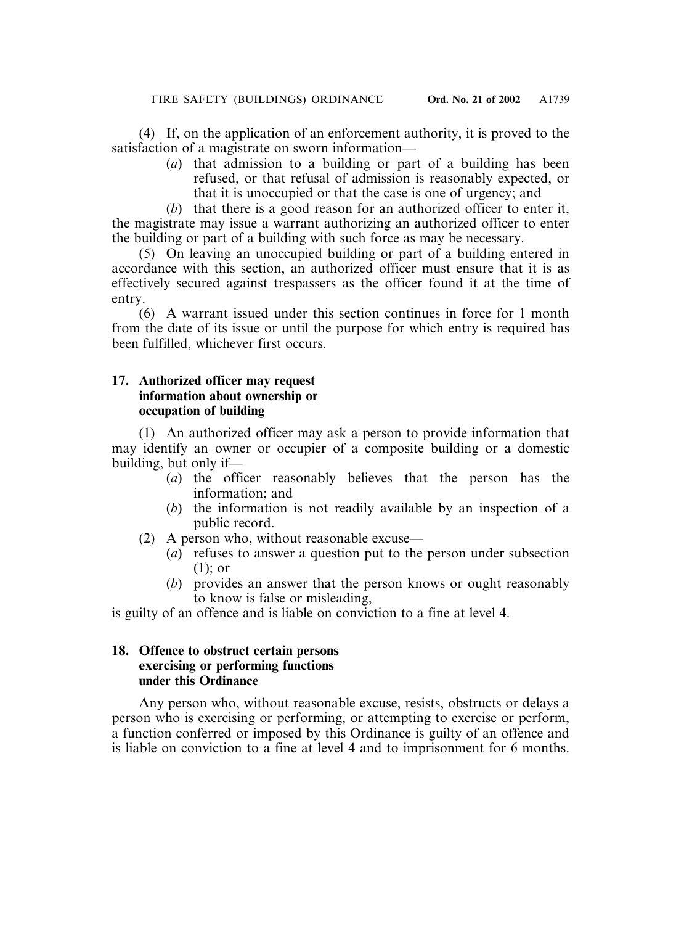(4) If, on the application of an enforcement authority, it is proved to the satisfaction of a magistrate on sworn information—

> (*a*) that admission to a building or part of a building has been refused, or that refusal of admission is reasonably expected, or that it is unoccupied or that the case is one of urgency; and

(*b*) that there is a good reason for an authorized officer to enter it, the magistrate may issue a warrant authorizing an authorized officer to enter the building or part of a building with such force as may be necessary.

(5) On leaving an unoccupied building or part of a building entered in accordance with this section, an authorized officer must ensure that it is as effectively secured against trespassers as the officer found it at the time of entry.

(6) A warrant issued under this section continues in force for 1 month from the date of its issue or until the purpose for which entry is required has been fulfilled, whichever first occurs.

# **17. Authorized officer may request information about ownership or occupation of building**

(1) An authorized officer may ask a person to provide information that may identify an owner or occupier of a composite building or a domestic building, but only if—

- (*a*) the officer reasonably believes that the person has the information; and
- (*b*) the information is not readily available by an inspection of a public record.
- (2) A person who, without reasonable excuse—
	- (*a*) refuses to answer a question put to the person under subsection (1); or
	- (*b*) provides an answer that the person knows or ought reasonably to know is false or misleading,

is guilty of an offence and is liable on conviction to a fine at level 4.

## **18. Offence to obstruct certain persons exercising or performing functions under this Ordinance**

Any person who, without reasonable excuse, resists, obstructs or delays a person who is exercising or performing, or attempting to exercise or perform, a function conferred or imposed by this Ordinance is guilty of an offence and is liable on conviction to a fine at level 4 and to imprisonment for 6 months.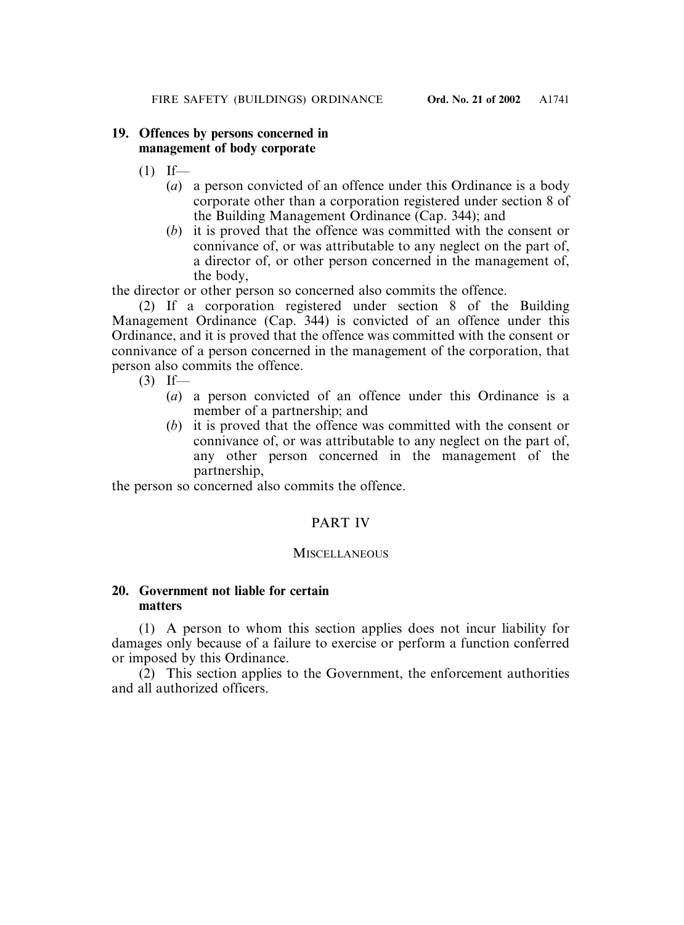# **19. Offences by persons concerned in management of body corporate**

- $(1)$  If—
	- (*a*) a person convicted of an offence under this Ordinance is a body corporate other than a corporation registered under section 8 of the Building Management Ordinance (Cap. 344); and
	- (*b*) it is proved that the offence was committed with the consent or connivance of, or was attributable to any neglect on the part of, a director of, or other person concerned in the management of, the body,

the director or other person so concerned also commits the offence.

(2) If a corporation registered under section 8 of the Building Management Ordinance (Cap. 344) is convicted of an offence under this Ordinance, and it is proved that the offence was committed with the consent or connivance of a person concerned in the management of the corporation, that person also commits the offence.

- $(3)$  If—
	- (*a*) a person convicted of an offence under this Ordinance is a member of a partnership; and
	- (*b*) it is proved that the offence was committed with the consent or connivance of, or was attributable to any neglect on the part of, any other person concerned in the management of the partnership,

the person so concerned also commits the offence.

# PART IV

# **MISCELLANEOUS**

# **20. Government not liable for certain matters**

(1) A person to whom this section applies does not incur liability for damages only because of a failure to exercise or perform a function conferred or imposed by this Ordinance.

(2) This section applies to the Government, the enforcement authorities and all authorized officers.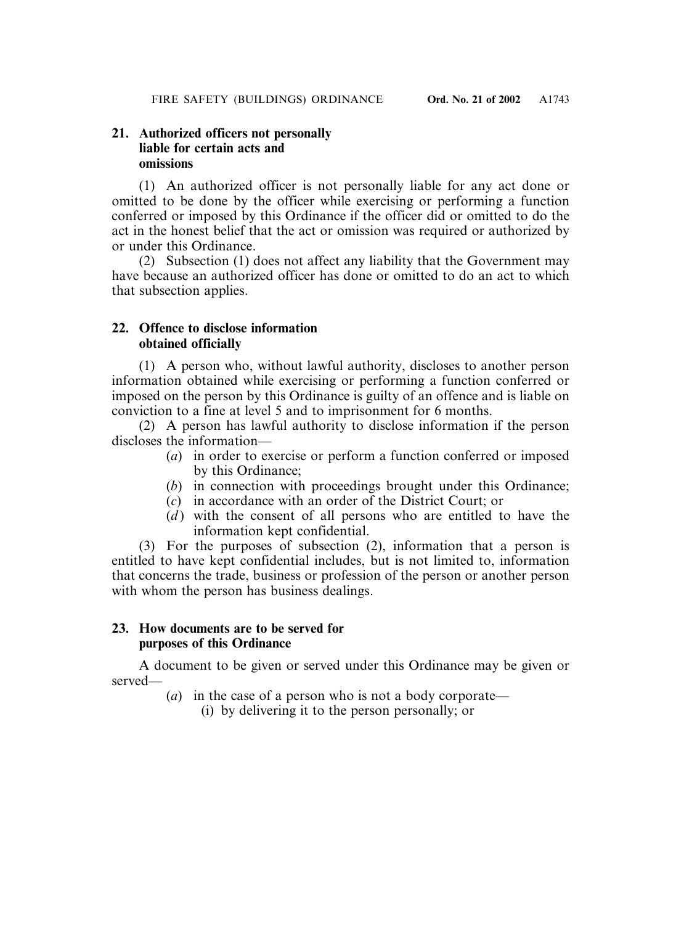# **21. Authorized officers not personally liable for certain acts and omissions**

(1) An authorized officer is not personally liable for any act done or omitted to be done by the officer while exercising or performing a function conferred or imposed by this Ordinance if the officer did or omitted to do the act in the honest belief that the act or omission was required or authorized by or under this Ordinance.

(2) Subsection (1) does not affect any liability that the Government may have because an authorized officer has done or omitted to do an act to which that subsection applies.

# **22. Offence to disclose information obtained officially**

(1) A person who, without lawful authority, discloses to another person information obtained while exercising or performing a function conferred or imposed on the person by this Ordinance is guilty of an offence and is liable on conviction to a fine at level 5 and to imprisonment for 6 months.

(2) A person has lawful authority to disclose information if the person discloses the information—

- (*a*) in order to exercise or perform a function conferred or imposed by this Ordinance;
- (*b*) in connection with proceedings brought under this Ordinance;
- (*c*) in accordance with an order of the District Court; or
- (*d*) with the consent of all persons who are entitled to have the information kept confidential.

(3) For the purposes of subsection (2), information that a person is entitled to have kept confidential includes, but is not limited to, information that concerns the trade, business or profession of the person or another person with whom the person has business dealings.

# **23. How documents are to be served for purposes of this Ordinance**

A document to be given or served under this Ordinance may be given or served—

- (*a*) in the case of a person who is not a body corporate—
	- (i) by delivering it to the person personally; or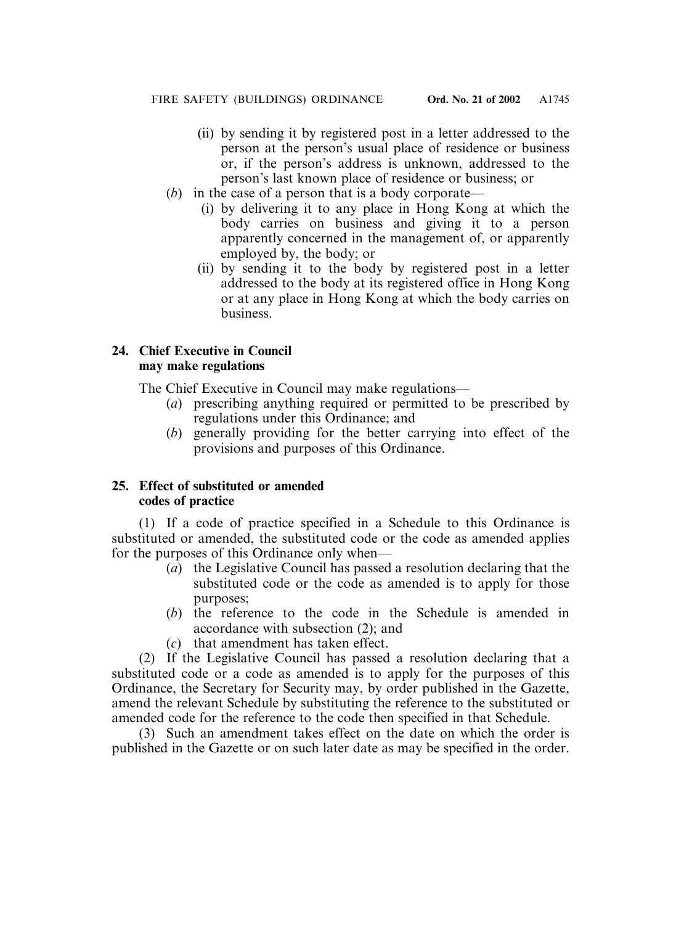- (ii) by sending it by registered post in a letter addressed to the person at the person's usual place of residence or business or, if the person's address is unknown, addressed to the person's last known place of residence or business; or
- (*b*) in the case of a person that is a body corporate—
	- (i) by delivering it to any place in Hong Kong at which the body carries on business and giving it to a person apparently concerned in the management of, or apparently employed by, the body; or
	- (ii) by sending it to the body by registered post in a letter addressed to the body at its registered office in Hong Kong or at any place in Hong Kong at which the body carries on business.

# **24. Chief Executive in Council may make regulations**

The Chief Executive in Council may make regulations—

- (*a*) prescribing anything required or permitted to be prescribed by regulations under this Ordinance; and
- (*b*) generally providing for the better carrying into effect of the provisions and purposes of this Ordinance.

# **25. Effect of substituted or amended codes of practice**

(1) If a code of practice specified in a Schedule to this Ordinance is substituted or amended, the substituted code or the code as amended applies for the purposes of this Ordinance only when—

- (*a*) the Legislative Council has passed a resolution declaring that the substituted code or the code as amended is to apply for those purposes;
- (*b*) the reference to the code in the Schedule is amended in accordance with subsection (2); and
- (*c*) that amendment has taken effect.

(2) If the Legislative Council has passed a resolution declaring that a substituted code or a code as amended is to apply for the purposes of this Ordinance, the Secretary for Security may, by order published in the Gazette, amend the relevant Schedule by substituting the reference to the substituted or amended code for the reference to the code then specified in that Schedule.

(3) Such an amendment takes effect on the date on which the order is published in the Gazette or on such later date as may be specified in the order.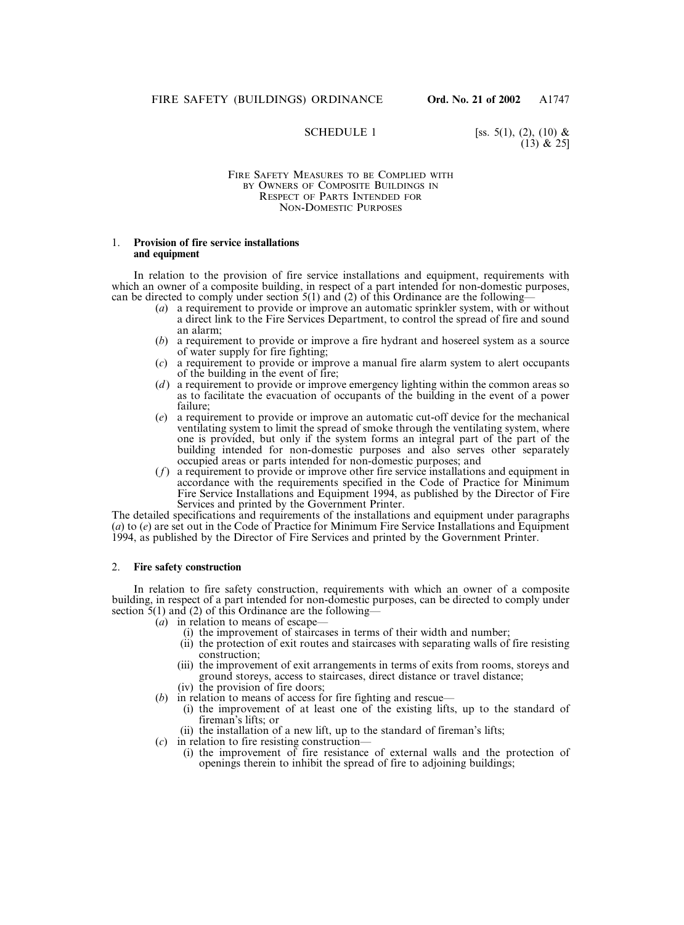SCHEDULE 1 [ss. 5(1), (2), (10) &  $(13)$  & 25]

#### FIRE SAFETY MEASURES TO BE COMPLIED WITH BY OWNERS OF COMPOSITE BUILDINGS IN RESPECT OF PARTS INTENDED FOR NON-DOMESTIC PURPOSES

#### 1. **Provision of fire service installations and equipment**

In relation to the provision of fire service installations and equipment, requirements with which an owner of a composite building, in respect of a part intended for non-domestic purposes, can be directed to comply under section  $5(1)$  and (2) of this Ordinance are the following-

- (*a*) a requirement to provide or improve an automatic sprinkler system, with or without a direct link to the Fire Services Department, to control the spread of fire and sound an alarm;
- (*b*) a requirement to provide or improve a fire hydrant and hosereel system as a source of water supply for fire fighting;
- (*c*) a requirement to provide or improve a manual fire alarm system to alert occupants of the building in the event of fire;
- (*d*) a requirement to provide or improve emergency lighting within the common areas so as to facilitate the evacuation of occupants of the building in the event of a power failure;
- (*e*) a requirement to provide or improve an automatic cut-off device for the mechanical ventilating system to limit the spread of smoke through the ventilating system, where one is provided, but only if the system forms an integral part of the part of the building intended for non-domestic purposes and also serves other separately occupied areas or parts intended for non-domestic purposes; and
- (*f*) a requirement to provide or improve other fire service installations and equipment in accordance with the requirements specified in the Code of Practice for Minimum Fire Service Installations and Equipment 1994, as published by the Director of Fire Services and printed by the Government Printer.

The detailed specifications and requirements of the installations and equipment under paragraphs (*a*) to (*e*) are set out in the Code of Practice for Minimum Fire Service Installations and Equipment 1994, as published by the Director of Fire Services and printed by the Government Printer.

#### 2. **Fire safety construction**

In relation to fire safety construction, requirements with which an owner of a composite building, in respect of a part intended for non-domestic purposes, can be directed to comply under section  $\overline{5}(1)$  and (2) of this Ordinance are the following—

- (*a*) in relation to means of escape—
	- (i) the improvement of staircases in terms of their width and number;
	- (ii) the protection of exit routes and staircases with separating walls of fire resisting construction;
	- (iii) the improvement of exit arrangements in terms of exits from rooms, storeys and ground storeys, access to staircases, direct distance or travel distance; (iv) the provision of fire doors;
- (*b*) in relation to means of access for fire fighting and rescue—
	- (i) the improvement of at least one of the existing lifts, up to the standard of fireman's lifts; or
	- (ii) the installation of a new lift, up to the standard of fireman's lifts;
- (*c*) in relation to fire resisting construction—
	- (i) the improvement of fire resistance of external walls and the protection of openings therein to inhibit the spread of fire to adjoining buildings;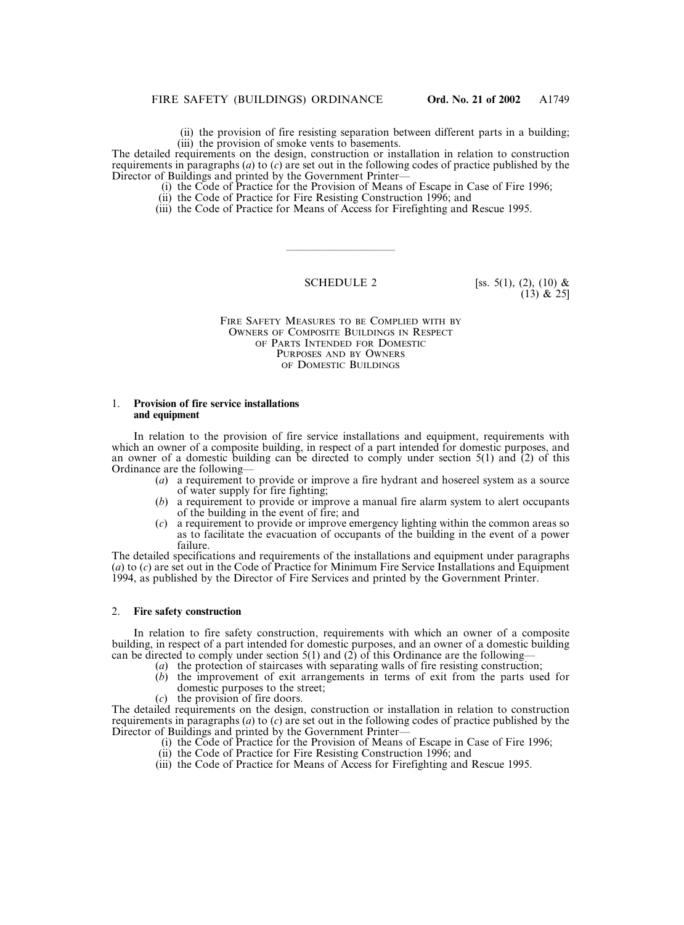(ii) the provision of fire resisting separation between different parts in a building; (iii) the provision of smoke vents to basements.

The detailed requirements on the design, construction or installation in relation to construction requirements in paragraphs (*a*) to (*c*) are set out in the following codes of practice published by the Director of Buildings and printed by the Government Printer–

- (i) the Code of Practice for the Provision of Means of Escape in Case of Fire 1996;
- (ii) the Code of Practice for Fire Resisting Construction 1996; and
- (iii) the Code of Practice for Means of Access for Firefighting and Rescue 1995.

——————————

**SCHEDULE 2** [ss. 5(1), (2), (10) &  $(13)$  & 25]

FIRE SAFETY MEASURES TO BE COMPLIED WITH BY OWNERS OF COMPOSITE BUILDINGS IN RESPECT OF PARTS INTENDED FOR DOMESTIC PURPOSES AND BY OWNERS OF DOMESTIC BUILDINGS

#### 1. **Provision of fire service installations and equipment**

In relation to the provision of fire service installations and equipment, requirements with which an owner of a composite building, in respect of a part intended for domestic purposes, and an owner of a domestic building can be directed to comply under section 5(1) and (2) of this Ordinance are the following—

- (*a*) a requirement to provide or improve a fire hydrant and hosereel system as a source of water supply for fire fighting;
- (*b*) a requirement to provide or improve a manual fire alarm system to alert occupants of the building in the event of fire; and
- (*c*) a requirement to provide or improve emergency lighting within the common areas so as to facilitate the evacuation of occupants of the building in the event of a power failure.

The detailed specifications and requirements of the installations and equipment under paragraphs (*a*) to (*c*) are set out in the Code of Practice for Minimum Fire Service Installations and Equipment 1994, as published by the Director of Fire Services and printed by the Government Printer.

#### 2. **Fire safety construction**

In relation to fire safety construction, requirements with which an owner of a composite building, in respect of a part intended for domestic purposes, and an owner of a domestic building can be directed to comply under section 5(1) and (2) of this Ordinance are the following—

- (*a*) the protection of staircases with separating walls of fire resisting construction;
- (*b*) the improvement of exit arrangements in terms of exit from the parts used for domestic purposes to the street;
- (*c*) the provision of fire doors.

The detailed requirements on the design, construction or installation in relation to construction requirements in paragraphs (*a*) to (*c*) are set out in the following codes of practice published by the Director of Buildings and printed by the Government Printer—

- (i) the Code of Practice for the Provision of Means of Escape in Case of Fire 1996;
- (ii) the Code of Practice for Fire Resisting Construction 1996; and
- (iii) the Code of Practice for Means of Access for Firefighting and Rescue 1995.